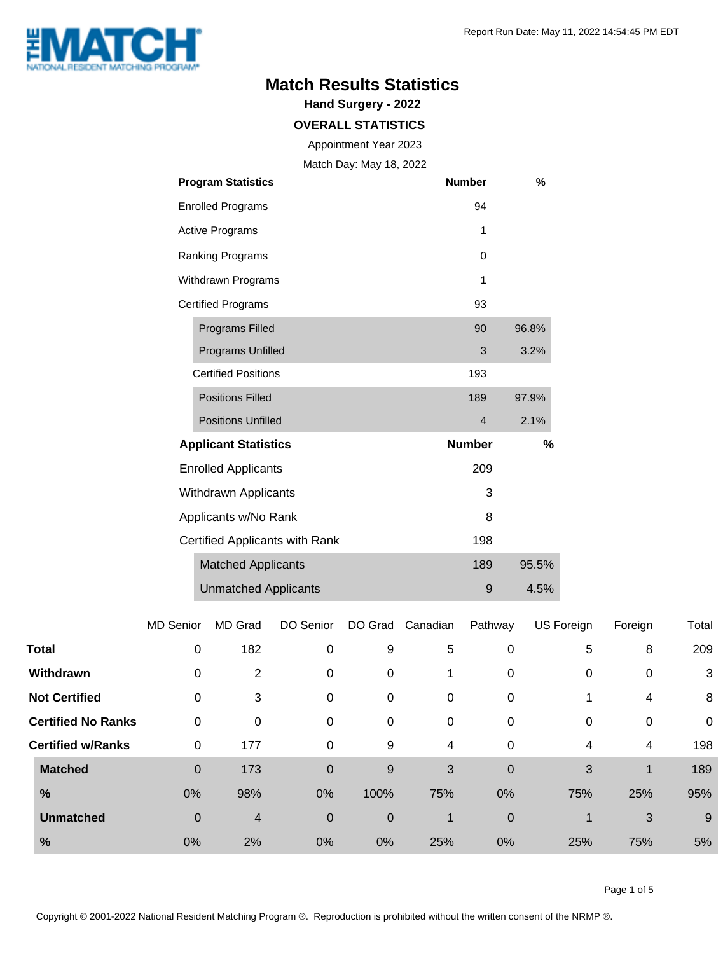

### **Match Results Statistics**

**Hand Surgery - 2022**

#### **OVERALL STATISTICS**

Appointment Year 2023

Match Day: May 18, 2022

|                                | <b>Program Statistics</b>   | <b>Number</b> | %     |
|--------------------------------|-----------------------------|---------------|-------|
|                                | <b>Enrolled Programs</b>    | 94            |       |
|                                | <b>Active Programs</b>      | 1             |       |
|                                | Ranking Programs            | $\Omega$      |       |
| Withdrawn Programs             |                             | 1             |       |
| <b>Certified Programs</b>      |                             | 93            |       |
|                                | <b>Programs Filled</b>      | 90            | 96.8% |
|                                | Programs Unfilled           | 3             | 3.2%  |
|                                | <b>Certified Positions</b>  | 193           |       |
|                                | <b>Positions Filled</b>     | 189           | 97.9% |
|                                | <b>Positions Unfilled</b>   | 4             | 2.1%  |
| <b>Applicant Statistics</b>    |                             | <b>Number</b> | %     |
| <b>Enrolled Applicants</b>     |                             | 209           |       |
| Withdrawn Applicants           |                             | 3             |       |
| Applicants w/No Rank           |                             | 8             |       |
| Certified Applicants with Rank |                             | 198           |       |
|                                | <b>Matched Applicants</b>   | 189           | 95.5% |
|                                | <b>Unmatched Applicants</b> | 9             | 4.5%  |

|                      |                           | <b>MD Senior</b> | MD Grad | DO Senior   | DO Grad     | Canadian    | Pathway          | US Foreign | Foreign     | Total       |
|----------------------|---------------------------|------------------|---------|-------------|-------------|-------------|------------------|------------|-------------|-------------|
| Total                |                           | 0                | 182     | 0           | 9           | 5           | 0                | 5          | 8           | 209         |
| Withdrawn            |                           | 0                | 2       | 0           | 0           |             | 0                | 0          | 0           | 3           |
| <b>Not Certified</b> |                           | 0                | 3       | 0           | 0           | $\mathbf 0$ | 0                |            | 4           | 8           |
|                      | <b>Certified No Ranks</b> | 0                | 0       | 0           | 0           | 0           | 0                | 0          | $\mathbf 0$ | $\mathbf 0$ |
|                      | <b>Certified w/Ranks</b>  | 0                | 177     | 0           | 9           | 4           | 0                | 4          | 4           | 198         |
| <b>Matched</b>       |                           | $\mathbf 0$      | 173     | $\mathbf 0$ | 9           | 3           | $\boldsymbol{0}$ | 3          |             | 189         |
| %                    |                           | 0%               | 98%     | 0%          | 100%        | 75%         | 0%               | 75%        | 25%         | 95%         |
| <b>Unmatched</b>     |                           | $\mathbf 0$      | 4       | $\mathbf 0$ | $\mathbf 0$ | 1           | $\mathbf 0$      | 1          | 3           | 9           |
| %                    |                           | 0%               | 2%      | 0%          | 0%          | 25%         | 0%               | 25%        | 75%         | 5%          |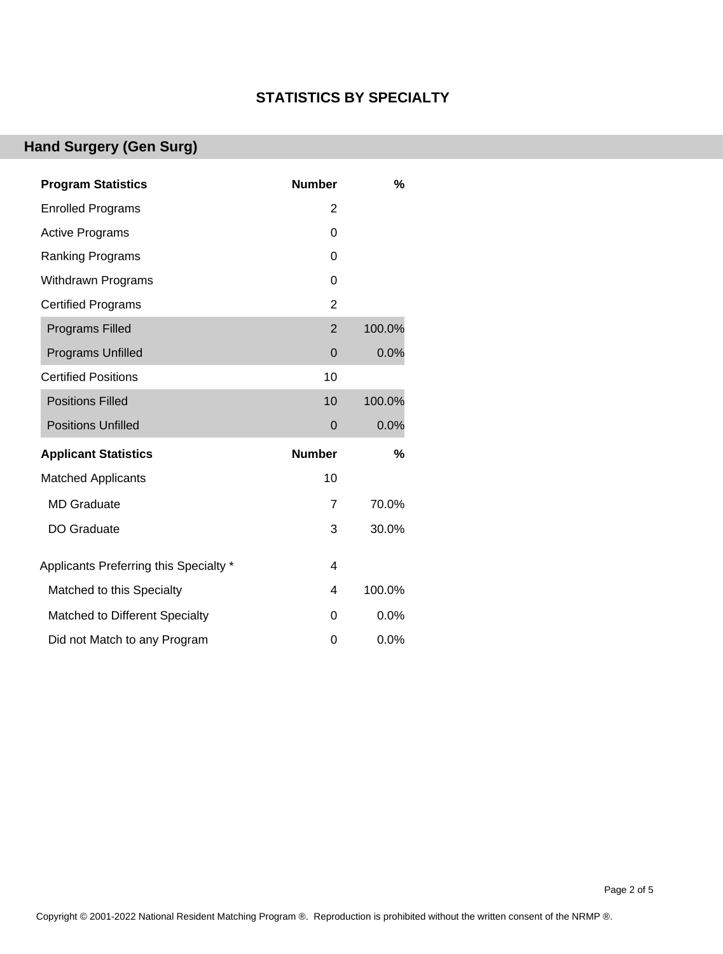#### **STATISTICS BY SPECIALTY**

## **Hand Surgery (Gen Surg)**

| <b>Program Statistics</b>              | <b>Number</b>  | %      |
|----------------------------------------|----------------|--------|
| <b>Enrolled Programs</b>               | 2              |        |
| <b>Active Programs</b>                 | 0              |        |
| <b>Ranking Programs</b>                | 0              |        |
| <b>Withdrawn Programs</b>              | 0              |        |
| <b>Certified Programs</b>              | $\overline{2}$ |        |
| <b>Programs Filled</b>                 | $\overline{2}$ | 100.0% |
| <b>Programs Unfilled</b>               | 0              | 0.0%   |
| <b>Certified Positions</b>             | 10             |        |
| <b>Positions Filled</b>                | 10             | 100.0% |
| <b>Positions Unfilled</b>              | 0              | 0.0%   |
| <b>Applicant Statistics</b>            | <b>Number</b>  | %      |
| <b>Matched Applicants</b>              | 10             |        |
| <b>MD</b> Graduate                     | 7              | 70.0%  |
| <b>DO Graduate</b>                     | 3              | 30.0%  |
| Applicants Preferring this Specialty * | 4              |        |
| Matched to this Specialty              | 4              | 100.0% |
| Matched to Different Specialty         | 0              | 0.0%   |
| Did not Match to any Program           | 0              | 0.0%   |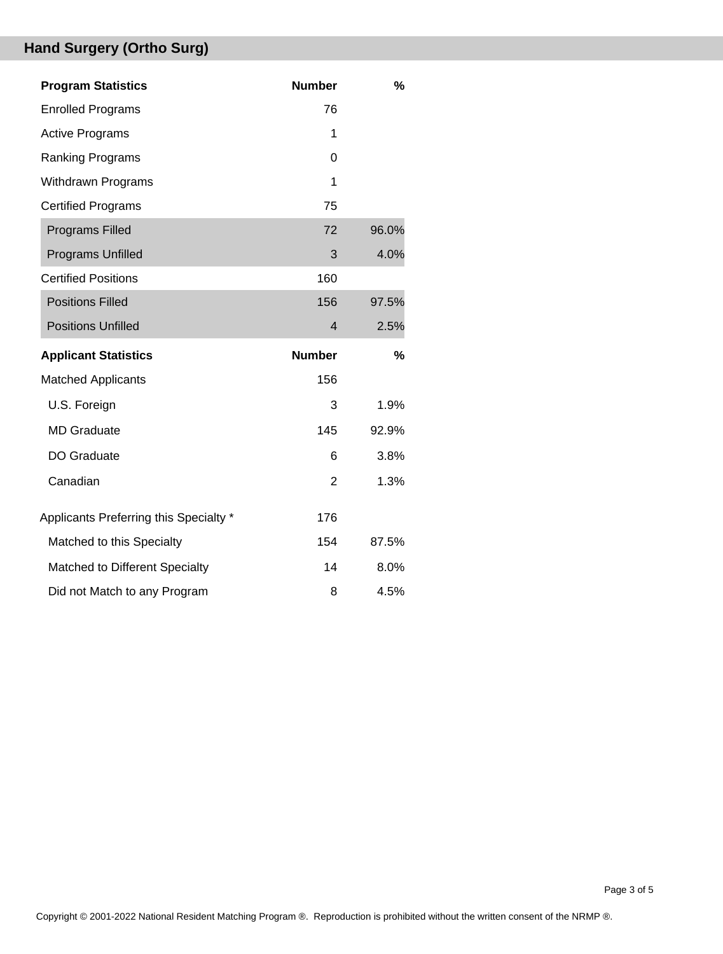# **Hand Surgery (Ortho Surg)**

| <b>Program Statistics</b>              | <b>Number</b>  | %     |
|----------------------------------------|----------------|-------|
| <b>Enrolled Programs</b>               | 76             |       |
| <b>Active Programs</b>                 | 1              |       |
| <b>Ranking Programs</b>                | 0              |       |
| <b>Withdrawn Programs</b>              | 1              |       |
| <b>Certified Programs</b>              | 75             |       |
| <b>Programs Filled</b>                 | 72             | 96.0% |
| <b>Programs Unfilled</b>               | 3              | 4.0%  |
| <b>Certified Positions</b>             | 160            |       |
| <b>Positions Filled</b>                | 156            | 97.5% |
| <b>Positions Unfilled</b>              | $\overline{4}$ | 2.5%  |
|                                        |                |       |
| <b>Applicant Statistics</b>            | <b>Number</b>  | %     |
| <b>Matched Applicants</b>              | 156            |       |
| U.S. Foreign                           | 3              | 1.9%  |
| <b>MD Graduate</b>                     | 145            | 92.9% |
| DO Graduate                            | 6              | 3.8%  |
| Canadian                               | $\overline{2}$ | 1.3%  |
| Applicants Preferring this Specialty * | 176            |       |
| Matched to this Specialty              | 154            | 87.5% |
| Matched to Different Specialty         | 14             | 8.0%  |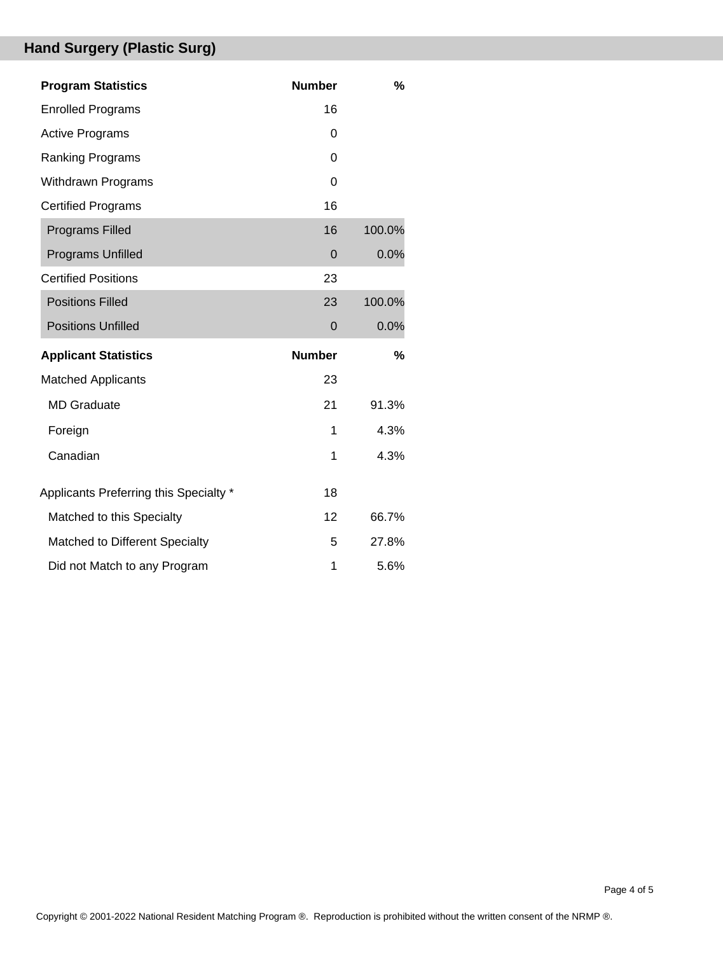# **Hand Surgery (Plastic Surg)**

| <b>Program Statistics</b>              | <b>Number</b> | $\frac{0}{0}$ |
|----------------------------------------|---------------|---------------|
| <b>Enrolled Programs</b>               | 16            |               |
| <b>Active Programs</b>                 | 0             |               |
| Ranking Programs                       | 0             |               |
| <b>Withdrawn Programs</b>              | $\Omega$      |               |
| <b>Certified Programs</b>              | 16            |               |
| <b>Programs Filled</b>                 | 16            | 100.0%        |
| Programs Unfilled                      | 0             | 0.0%          |
| <b>Certified Positions</b>             | 23            |               |
| <b>Positions Filled</b>                | 23            | 100.0%        |
| <b>Positions Unfilled</b>              | $\mathbf 0$   | 0.0%          |
| <b>Applicant Statistics</b>            | <b>Number</b> | %             |
| <b>Matched Applicants</b>              | 23            |               |
| <b>MD</b> Graduate                     | 21            | 91.3%         |
| Foreign                                | 1             | 4.3%          |
| Canadian                               | 1             | 4.3%          |
| Applicants Preferring this Specialty * | 18            |               |
| Matched to this Specialty              | 12            | 66.7%         |
| Matched to Different Specialty         | 5             | 27.8%         |
| Did not Match to any Program           | 1             | 5.6%          |